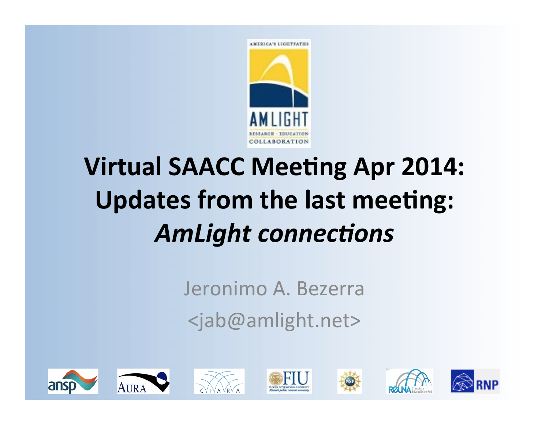

## **Virtual SAACC Meeting Apr 2014: Updates from the last meeting: AmLight connections**

Jeronimo A. Bezerra <jab@amlight.net> 

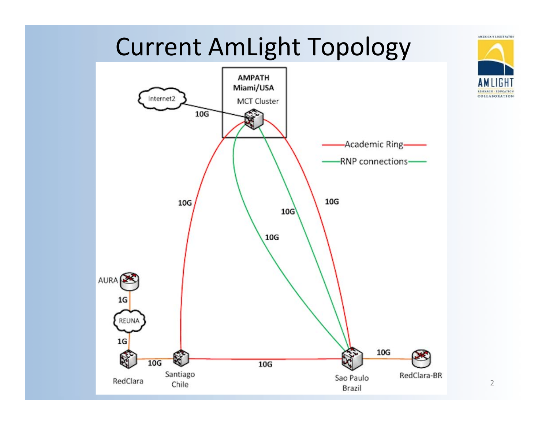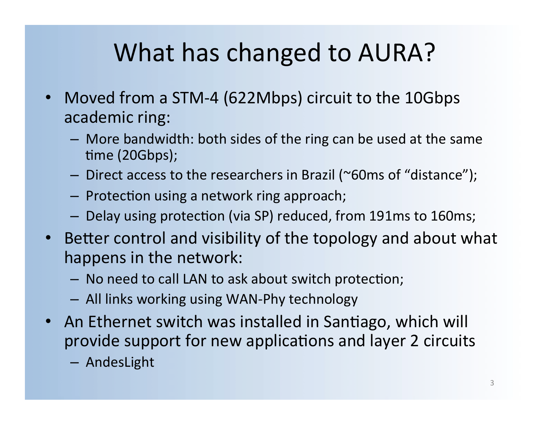## What has changed to AURA?

- Moved from a STM-4 (622Mbps) circuit to the 10Gbps academic ring:
	- $-$  More bandwidth: both sides of the ring can be used at the same time (20Gbps);
	- $-$  Direct access to the researchers in Brazil (~60ms of "distance");
	- $-$  Protection using a network ring approach;
	- Delay using protection (via SP) reduced, from 191ms to 160ms;
- Better control and visibility of the topology and about what happens in the network:
	- $-$  No need to call LAN to ask about switch protection;
	- $-$  All links working using WAN-Phy technology
- An Ethernet switch was installed in Santiago, which will provide support for new applications and layer 2 circuits
	- AndesLight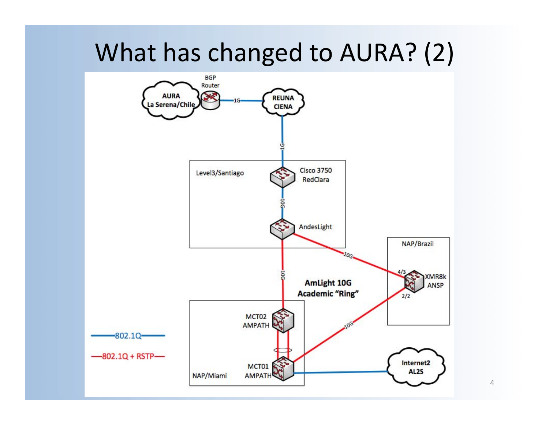### What has changed to AURA? (2)



4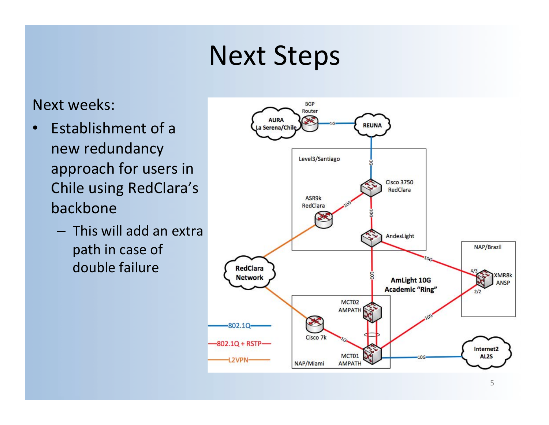## **Next Steps**

#### Next weeks:

- Establishment of a new redundancy approach for users in Chile using RedClara's backbone
	- $-$  This will add an extra path in case of double failure

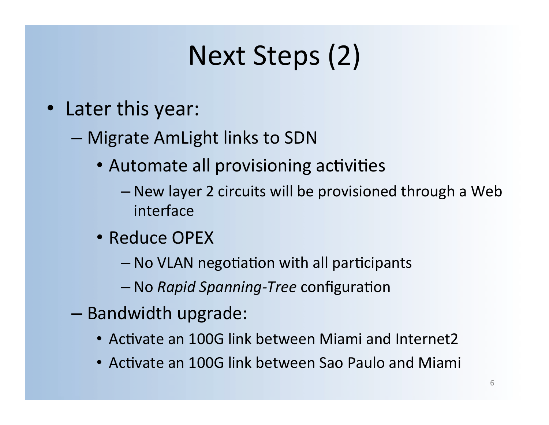## Next Steps (2)

- Later this year:
	- Migrate AmLight links to SDN
		- Automate all provisioning activities
			- New layer 2 circuits will be provisioned through a Web interface
		- Reduce OPEX
			- $-$  No VLAN negotiation with all participants
			- $-$  No *Rapid Spanning-Tree* configuration
	- Bandwidth upgrade:
		- Activate an 100G link between Miami and Internet2
		- Activate an 100G link between Sao Paulo and Miami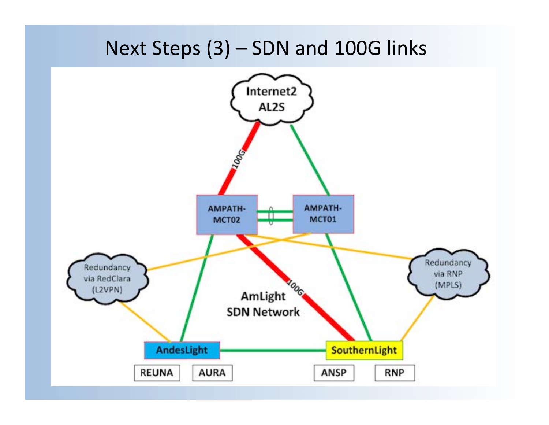#### Next Steps  $(3)$  – SDN and 100G links

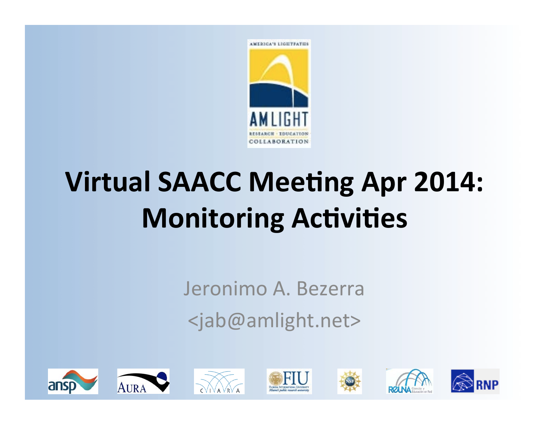

# **Virtual SAACC Meeting Apr 2014: Monitoring Activities**

Jeronimo A. Bezerra <jab@amlight.net> 



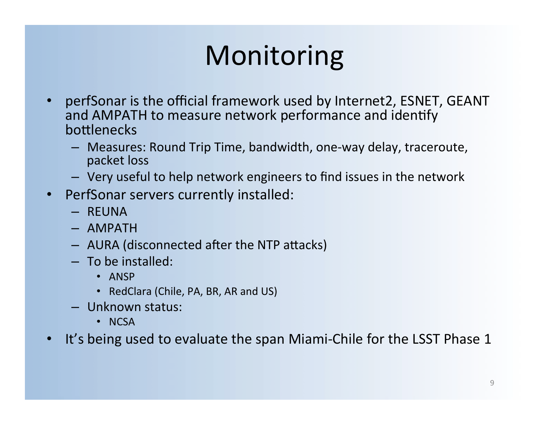## Monitoring

- perfSonar is the official framework used by Internet2, ESNET, GEANT and AMPATH to measure network performance and identify bottlenecks
	- $-$  Measures: Round Trip Time, bandwidth, one-way delay, traceroute, packet loss
	- $-$  Very useful to help network engineers to find issues in the network
- PerfSonar servers currently installed:
	- REUNA
	- AMPATH
	- AURA (disconnected after the NTP attacks)
	- $-$  To be installed:
		- ANSP
		- RedClara (Chile, PA, BR, AR and US)
	- Unknown status:
		- NCSA
- It's being used to evaluate the span Miami-Chile for the LSST Phase 1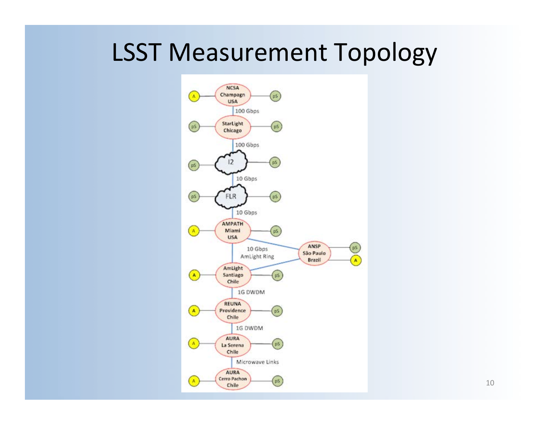### LSST Measurement Topology

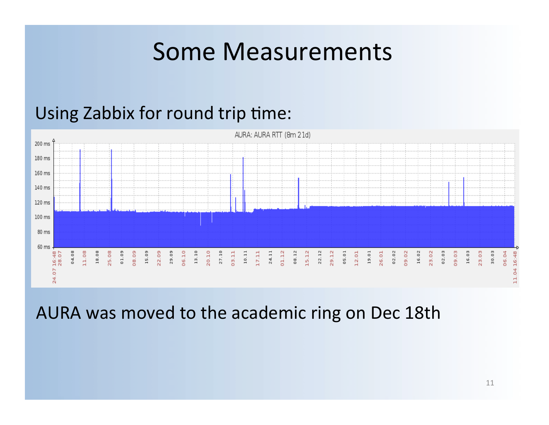#### Some Measurements

#### Using Zabbix for round trip time:



AURA was moved to the academic ring on Dec 18th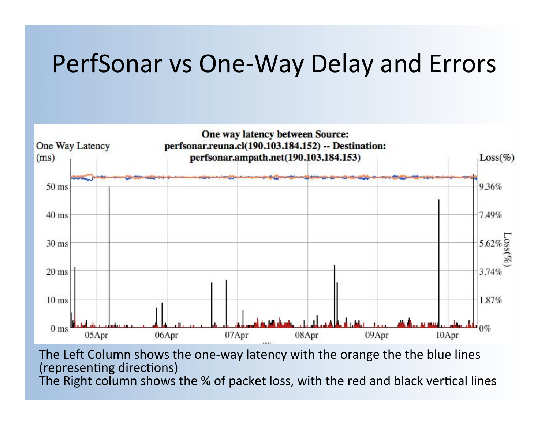#### PerfSonar vs One-Way Delay and Errors



The Right column shows the % of packet loss, with the red and black vertical lines The Left Column shows the one-way latency with the orange the the blue lines (representing directions)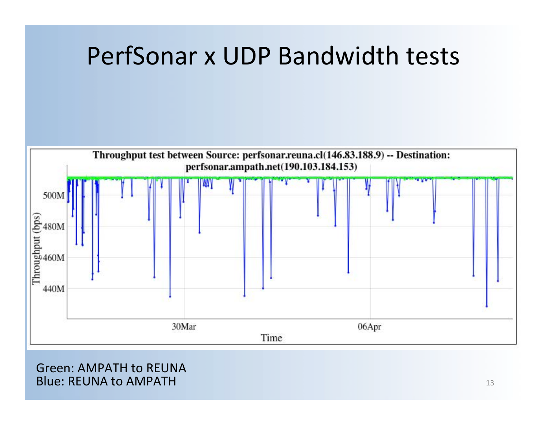



#### Green: AMPATH to REUNA **Blue: REUNA to AMPATH**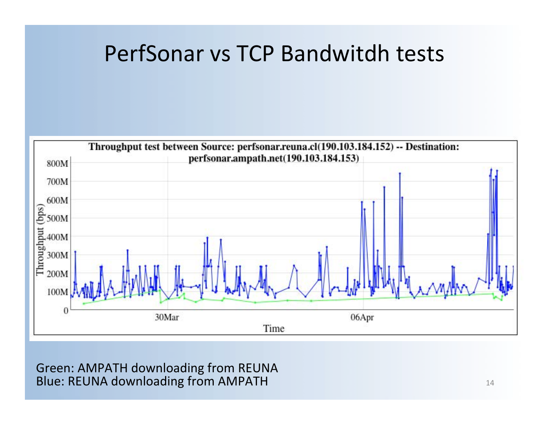#### PerfSonar vs TCP Bandwitdh tests



Green: AMPATH downloading from REUNA **Blue: REUNA downloading from AMPATH**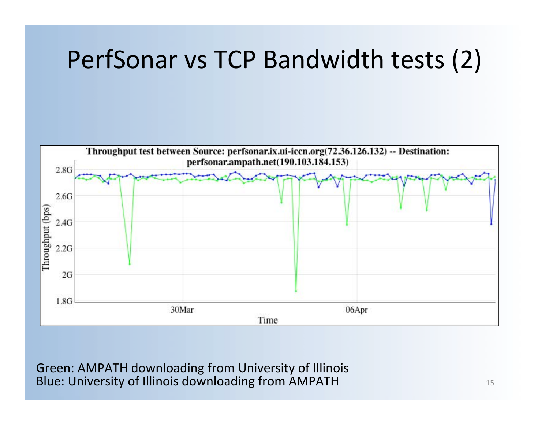### PerfSonar vs TCP Bandwidth tests (2)



Green: AMPATH downloading from University of Illinois Blue: University of Illinois downloading from AMPATH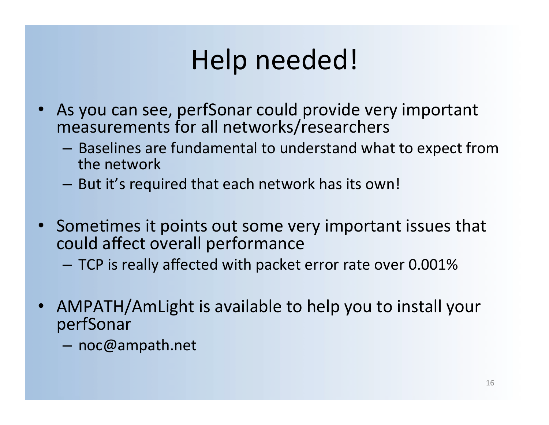## Help needed!

- As you can see, perfSonar could provide very important measurements for all networks/researchers
	- Baselines are fundamental to understand what to expect from the network
	- $-$  But it's required that each network has its own!
- Sometimes it points out some very important issues that could affect overall performance
	- $-$  TCP is really affected with packet error rate over 0.001%
- AMPATH/AmLight is available to help you to install your perfSonar
	- noc@ampath.net